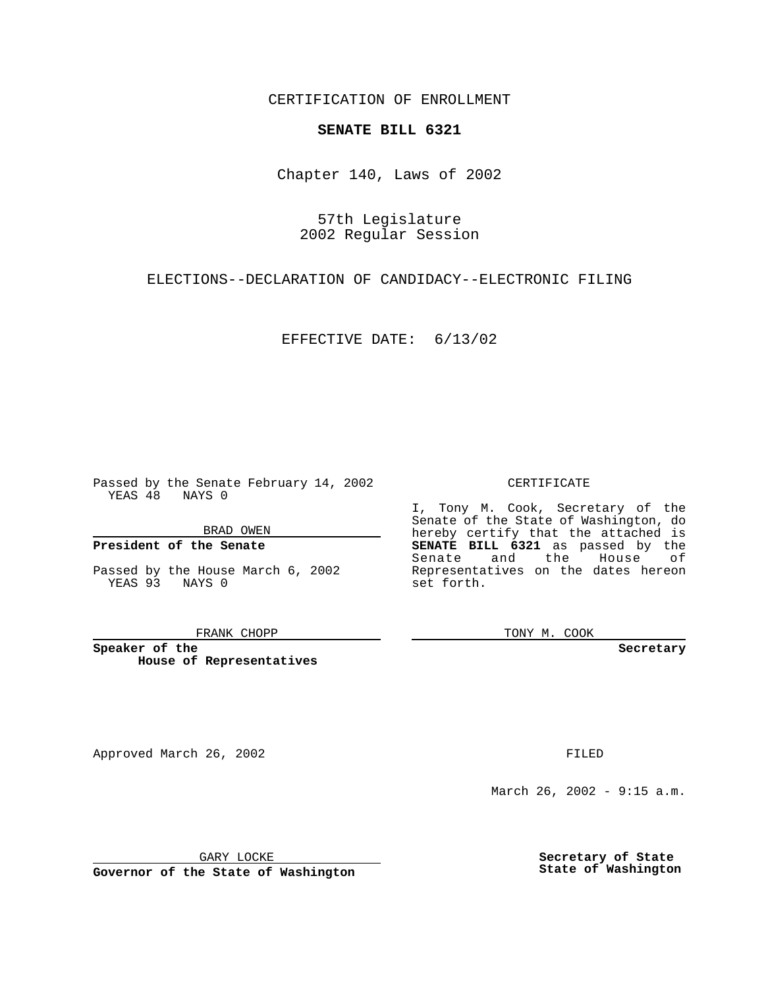CERTIFICATION OF ENROLLMENT

# **SENATE BILL 6321**

Chapter 140, Laws of 2002

57th Legislature 2002 Regular Session

ELECTIONS--DECLARATION OF CANDIDACY--ELECTRONIC FILING

EFFECTIVE DATE: 6/13/02

Passed by the Senate February 14, 2002 YEAS 48 NAYS 0

BRAD OWEN

### **President of the Senate**

Passed by the House March 6, 2002 YEAS 93 NAYS 0

#### FRANK CHOPP

**Speaker of the House of Representatives**

Approved March 26, 2002 **FILED** 

#### CERTIFICATE

I, Tony M. Cook, Secretary of the Senate of the State of Washington, do hereby certify that the attached is **SENATE BILL 6321** as passed by the Senate and the House of Representatives on the dates hereon set forth.

TONY M. COOK

**Secretary**

March 26, 2002 - 9:15 a.m.

GARY LOCKE

**Governor of the State of Washington**

**Secretary of State State of Washington**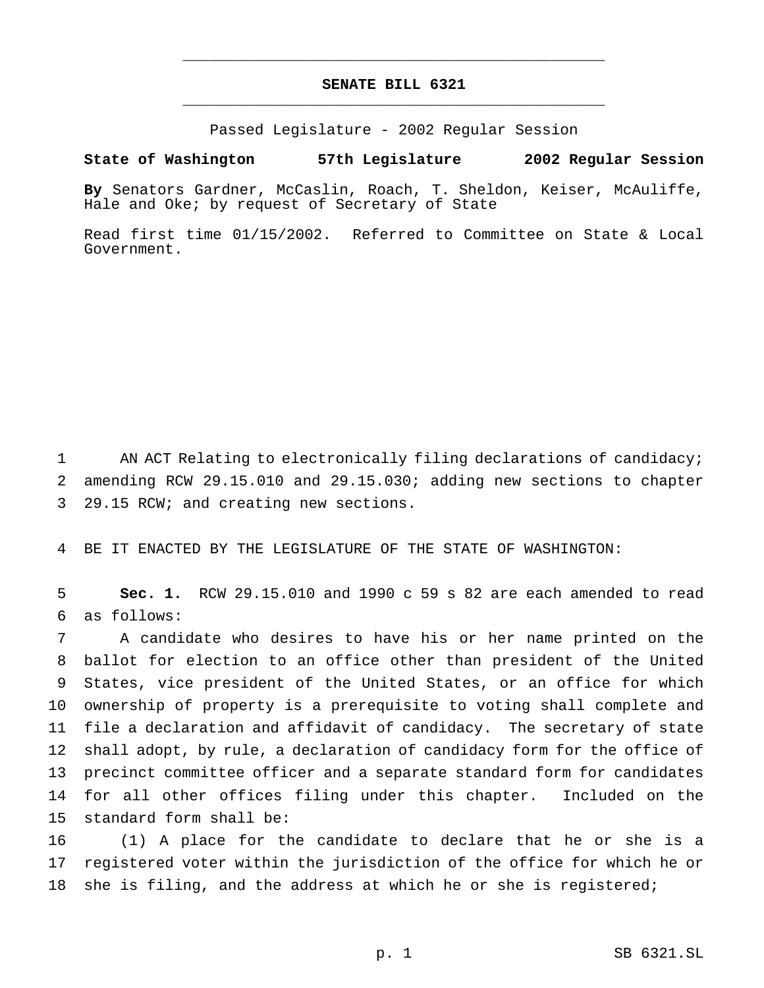## **SENATE BILL 6321** \_\_\_\_\_\_\_\_\_\_\_\_\_\_\_\_\_\_\_\_\_\_\_\_\_\_\_\_\_\_\_\_\_\_\_\_\_\_\_\_\_\_\_\_\_\_\_

\_\_\_\_\_\_\_\_\_\_\_\_\_\_\_\_\_\_\_\_\_\_\_\_\_\_\_\_\_\_\_\_\_\_\_\_\_\_\_\_\_\_\_\_\_\_\_

Passed Legislature - 2002 Regular Session

### **State of Washington 57th Legislature 2002 Regular Session**

**By** Senators Gardner, McCaslin, Roach, T. Sheldon, Keiser, McAuliffe, Hale and Oke; by request of Secretary of State

Read first time 01/15/2002. Referred to Committee on State & Local Government.

 AN ACT Relating to electronically filing declarations of candidacy; amending RCW 29.15.010 and 29.15.030; adding new sections to chapter 29.15 RCW; and creating new sections.

BE IT ENACTED BY THE LEGISLATURE OF THE STATE OF WASHINGTON:

 **Sec. 1.** RCW 29.15.010 and 1990 c 59 s 82 are each amended to read as follows:

 A candidate who desires to have his or her name printed on the ballot for election to an office other than president of the United States, vice president of the United States, or an office for which ownership of property is a prerequisite to voting shall complete and file a declaration and affidavit of candidacy. The secretary of state shall adopt, by rule, a declaration of candidacy form for the office of precinct committee officer and a separate standard form for candidates for all other offices filing under this chapter. Included on the standard form shall be:

 (1) A place for the candidate to declare that he or she is a registered voter within the jurisdiction of the office for which he or 18 she is filing, and the address at which he or she is registered;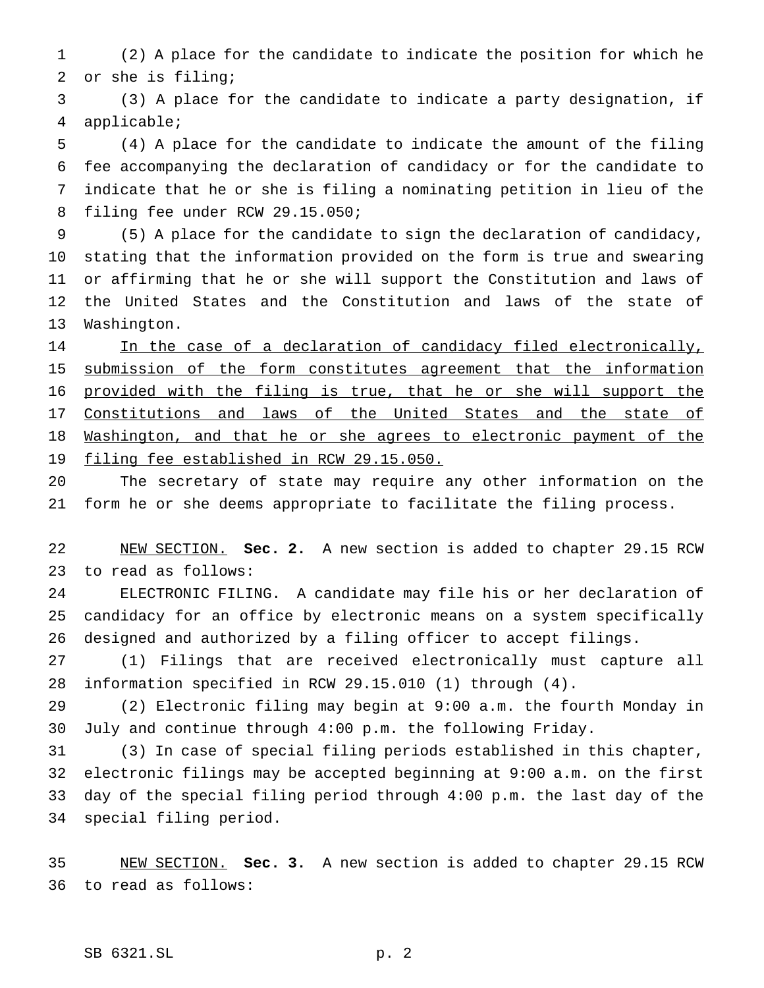(2) A place for the candidate to indicate the position for which he or she is filing;

 (3) A place for the candidate to indicate a party designation, if applicable;

 (4) A place for the candidate to indicate the amount of the filing fee accompanying the declaration of candidacy or for the candidate to indicate that he or she is filing a nominating petition in lieu of the filing fee under RCW 29.15.050;

 (5) A place for the candidate to sign the declaration of candidacy, stating that the information provided on the form is true and swearing or affirming that he or she will support the Constitution and laws of the United States and the Constitution and laws of the state of Washington.

14 In the case of a declaration of candidacy filed electronically, 15 submission of the form constitutes agreement that the information provided with the filing is true, that he or she will support the 17 Constitutions and laws of the United States and the state of 18 Washington, and that he or she agrees to electronic payment of the 19 filing fee established in RCW 29.15.050.

 The secretary of state may require any other information on the form he or she deems appropriate to facilitate the filing process.

 NEW SECTION. **Sec. 2.** A new section is added to chapter 29.15 RCW to read as follows:

 ELECTRONIC FILING. A candidate may file his or her declaration of candidacy for an office by electronic means on a system specifically designed and authorized by a filing officer to accept filings.

 (1) Filings that are received electronically must capture all information specified in RCW 29.15.010 (1) through (4).

 (2) Electronic filing may begin at 9:00 a.m. the fourth Monday in July and continue through 4:00 p.m. the following Friday.

 (3) In case of special filing periods established in this chapter, electronic filings may be accepted beginning at 9:00 a.m. on the first day of the special filing period through 4:00 p.m. the last day of the special filing period.

 NEW SECTION. **Sec. 3.** A new section is added to chapter 29.15 RCW to read as follows: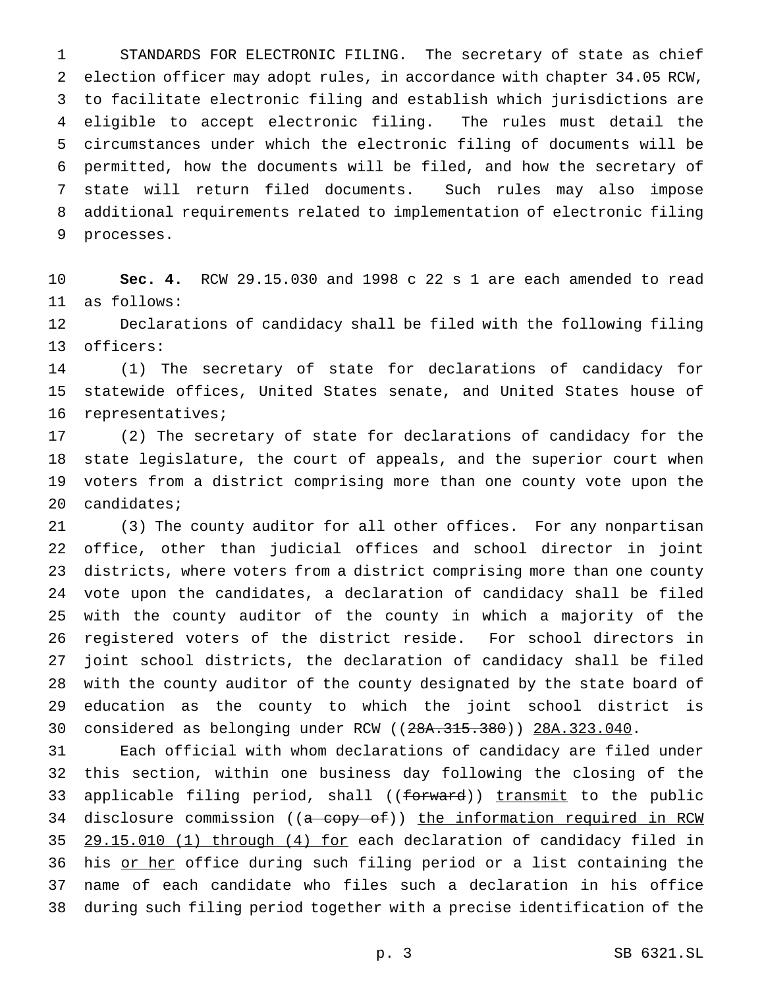STANDARDS FOR ELECTRONIC FILING. The secretary of state as chief election officer may adopt rules, in accordance with chapter 34.05 RCW, to facilitate electronic filing and establish which jurisdictions are eligible to accept electronic filing. The rules must detail the circumstances under which the electronic filing of documents will be permitted, how the documents will be filed, and how the secretary of state will return filed documents. Such rules may also impose additional requirements related to implementation of electronic filing processes.

 **Sec. 4.** RCW 29.15.030 and 1998 c 22 s 1 are each amended to read as follows:

 Declarations of candidacy shall be filed with the following filing officers:

 (1) The secretary of state for declarations of candidacy for statewide offices, United States senate, and United States house of representatives;

 (2) The secretary of state for declarations of candidacy for the state legislature, the court of appeals, and the superior court when voters from a district comprising more than one county vote upon the candidates;

 (3) The county auditor for all other offices. For any nonpartisan office, other than judicial offices and school director in joint districts, where voters from a district comprising more than one county vote upon the candidates, a declaration of candidacy shall be filed with the county auditor of the county in which a majority of the registered voters of the district reside. For school directors in joint school districts, the declaration of candidacy shall be filed with the county auditor of the county designated by the state board of education as the county to which the joint school district is considered as belonging under RCW ((28A.315.380)) 28A.323.040.

 Each official with whom declarations of candidacy are filed under this section, within one business day following the closing of the 33 applicable filing period, shall ((forward)) transmit to the public 34 disclosure commission ((a copy of)) the information required in RCW 29.15.010 (1) through (4) for each declaration of candidacy filed in 36 his or her office during such filing period or a list containing the name of each candidate who files such a declaration in his office during such filing period together with a precise identification of the